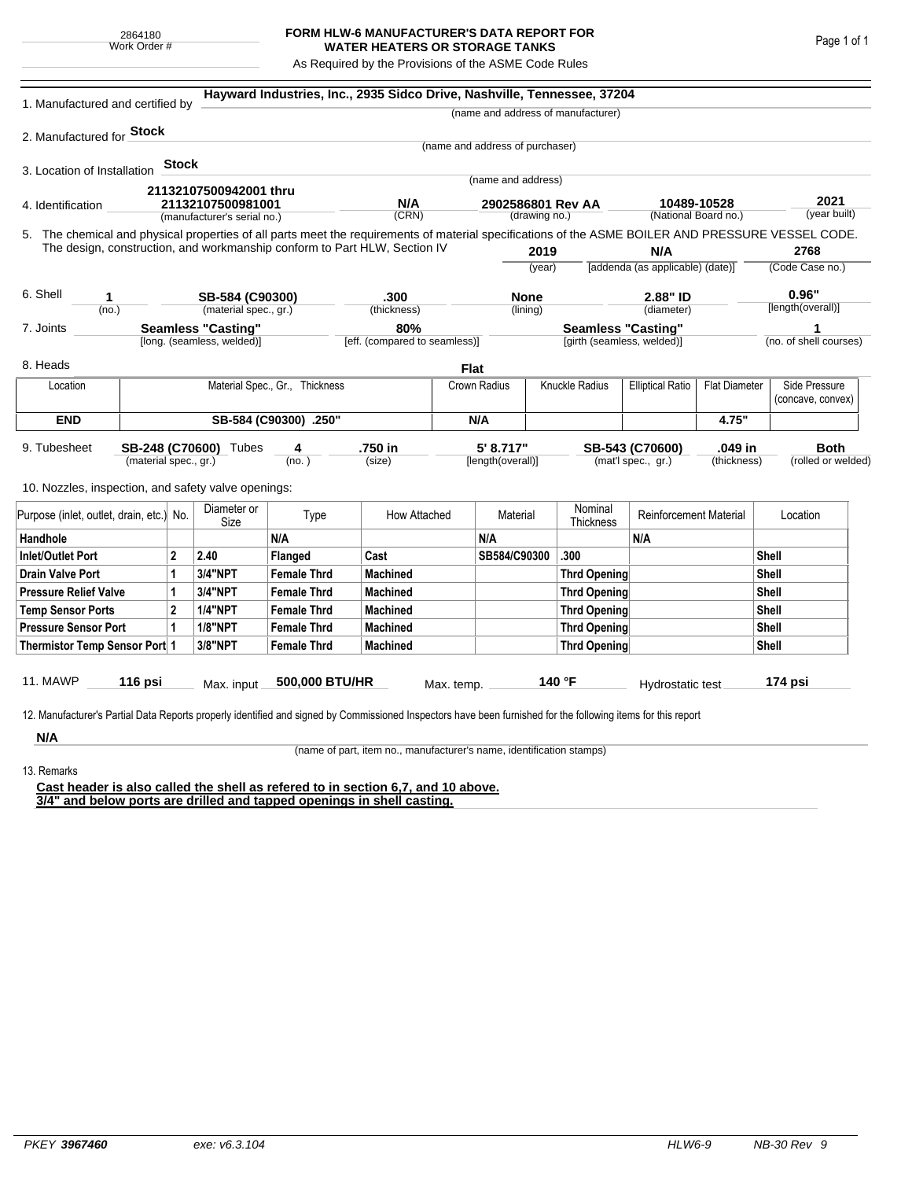## **FORM HLW-6 MANUFACTURER'S DATA REPORT FOR WATER HEATERS OR STORAGE TANKS**

As Required by the Provisions of the ASME Code Rules

| 1. Manufactured and certified by                                                                                                                              |                       |              |                                                         |                                | Hayward Industries, Inc., 2935 Sidco Drive, Nashville, Tennessee, 37204   |                                    |                                 |                                                         |                                           |                                  |                        |                      |                   |  |
|---------------------------------------------------------------------------------------------------------------------------------------------------------------|-----------------------|--------------|---------------------------------------------------------|--------------------------------|---------------------------------------------------------------------------|------------------------------------|---------------------------------|---------------------------------------------------------|-------------------------------------------|----------------------------------|------------------------|----------------------|-------------------|--|
|                                                                                                                                                               |                       |              |                                                         |                                |                                                                           |                                    |                                 |                                                         | (name and address of manufacturer)        |                                  |                        |                      |                   |  |
| 2. Manufactured for <b>Stock</b>                                                                                                                              |                       |              |                                                         |                                |                                                                           |                                    |                                 |                                                         |                                           |                                  |                        |                      |                   |  |
|                                                                                                                                                               |                       |              |                                                         |                                |                                                                           |                                    | (name and address of purchaser) |                                                         |                                           |                                  |                        |                      |                   |  |
| 3. Location of Installation                                                                                                                                   |                       | <b>Stock</b> |                                                         |                                |                                                                           |                                    |                                 |                                                         |                                           |                                  |                        |                      |                   |  |
|                                                                                                                                                               |                       |              | 21132107500942001 thru                                  |                                |                                                                           |                                    | (name and address)              |                                                         |                                           |                                  |                        |                      |                   |  |
| 21132107500981001<br>4. Identification                                                                                                                        |                       |              | N/A<br>(CRN)                                            |                                |                                                                           | 2902586801 Rev AA<br>(drawing no.) |                                 |                                                         | 10489-10528<br>(National Board no.)       |                                  |                        | 2021<br>(year built) |                   |  |
|                                                                                                                                                               |                       |              | (manufacturer's serial no.)                             |                                |                                                                           |                                    |                                 |                                                         |                                           |                                  |                        |                      |                   |  |
| 5. The chemical and physical properties of all parts meet the requirements of material specifications of the ASME BOILER AND PRESSURE VESSEL CODE.            |                       |              |                                                         |                                | The design, construction, and workmanship conform to Part HLW, Section IV |                                    |                                 | 2019                                                    |                                           | N/A                              |                        |                      | 2768              |  |
|                                                                                                                                                               |                       |              |                                                         |                                |                                                                           |                                    |                                 | (year)                                                  |                                           | [addenda (as applicable) (date)] |                        | (Code Case no.)      |                   |  |
|                                                                                                                                                               |                       |              |                                                         |                                |                                                                           |                                    |                                 |                                                         |                                           |                                  |                        |                      |                   |  |
| 6. Shell<br>1                                                                                                                                                 |                       |              | SB-584 (C90300)                                         |                                | .300                                                                      |                                    | <b>None</b>                     |                                                         | 2.88" ID                                  |                                  |                        | 0.96"                |                   |  |
| (no.)                                                                                                                                                         |                       |              | (material spec., gr.)                                   |                                | (thickness)                                                               |                                    |                                 | (lining)                                                |                                           | (diameter)                       |                        |                      | [length(overall)] |  |
| 7. Joints                                                                                                                                                     |                       |              | <b>Seamless "Casting"</b><br>[long. (seamless, welded)] |                                | 80%<br>[eff. (compared to seamless)]                                      |                                    |                                 | <b>Seamless "Casting"</b><br>[girth (seamless, welded)] |                                           |                                  | (no. of shell courses) |                      |                   |  |
|                                                                                                                                                               |                       |              |                                                         |                                |                                                                           |                                    |                                 |                                                         |                                           |                                  |                        |                      |                   |  |
| 8. Heads                                                                                                                                                      |                       |              |                                                         |                                |                                                                           | <b>Flat</b>                        |                                 |                                                         |                                           |                                  |                        |                      |                   |  |
| Location                                                                                                                                                      |                       |              |                                                         | Material Spec., Gr., Thickness |                                                                           |                                    | Crown Radius                    |                                                         | Knuckle Radius<br><b>Elliptical Ratio</b> |                                  | <b>Flat Diameter</b>   |                      | Side Pressure     |  |
|                                                                                                                                                               |                       |              |                                                         |                                |                                                                           |                                    |                                 |                                                         |                                           |                                  |                        |                      | (concave, convex) |  |
| <b>END</b>                                                                                                                                                    | SB-584 (C90300) .250" |              |                                                         |                                |                                                                           |                                    | N/A                             |                                                         |                                           |                                  | 4.75"                  |                      |                   |  |
| 9. Tubesheet                                                                                                                                                  |                       |              | SB-248 (C70600) Tubes                                   | 4                              | .750 in                                                                   |                                    | 5' 8.717"                       |                                                         |                                           | SB-543 (C70600)                  | .049 in                |                      | <b>Both</b>       |  |
| (material spec., gr.)                                                                                                                                         |                       |              |                                                         | (no. )                         | (size)                                                                    |                                    | [length(overall)]               |                                                         | (mat'l spec., gr.)<br>(thickness)         |                                  |                        | (rolled or welded)   |                   |  |
| 10. Nozzles, inspection, and safety valve openings:                                                                                                           |                       |              |                                                         |                                |                                                                           |                                    |                                 |                                                         |                                           |                                  |                        |                      |                   |  |
|                                                                                                                                                               |                       |              |                                                         |                                |                                                                           |                                    |                                 |                                                         |                                           |                                  |                        |                      |                   |  |
| Purpose (inlet, outlet, drain, etc.) No.                                                                                                                      |                       |              | Diameter or<br>Size                                     | Type                           | How Attached                                                              |                                    | Material                        |                                                         | Nominal<br>Thickness                      | <b>Reinforcement Material</b>    |                        |                      | Location          |  |
| Handhole                                                                                                                                                      |                       |              |                                                         | N/A                            |                                                                           |                                    | N/A                             |                                                         |                                           | N/A                              |                        |                      |                   |  |
| <b>Inlet/Outlet Port</b><br>2                                                                                                                                 |                       | 2.40         | Flanged                                                 | Cast                           |                                                                           | SB584/C90300                       |                                 | .300                                                    |                                           |                                  |                        | Shell                |                   |  |
| <b>Drain Valve Port</b><br>1                                                                                                                                  |                       | 3/4"NPT      | <b>Female Thrd</b>                                      | <b>Machined</b>                |                                                                           |                                    |                                 | <b>Thrd Opening</b>                                     |                                           |                                  | Shell                  |                      |                   |  |
| <b>Pressure Relief Valve</b><br>1                                                                                                                             |                       |              | 3/4"NPT                                                 | <b>Female Thrd</b>             | <b>Machined</b>                                                           |                                    |                                 |                                                         | <b>Thrd Opening</b>                       |                                  |                        | Shell                |                   |  |
| $\overline{2}$<br><b>Temp Sensor Ports</b>                                                                                                                    |                       |              | <b>1/4"NPT</b>                                          | <b>Female Thrd</b>             | <b>Machined</b>                                                           |                                    |                                 | <b>Thrd Opening</b>                                     |                                           |                                  |                        | Shell                |                   |  |
| <b>Pressure Sensor Port</b><br>1                                                                                                                              |                       |              | <b>1/8"NPT</b>                                          | <b>Female Thrd</b>             | <b>Machined</b>                                                           |                                    |                                 |                                                         | Thrd Opening                              |                                  |                        | Shell                |                   |  |
| Thermistor Temp Sensor Port 1                                                                                                                                 |                       |              | 3/8"NPT                                                 | <b>Female Thrd</b>             | <b>Machined</b>                                                           |                                    |                                 | Thrd Opening                                            |                                           |                                  |                        |                      | Shell             |  |
|                                                                                                                                                               |                       |              |                                                         |                                |                                                                           |                                    |                                 |                                                         |                                           |                                  |                        |                      |                   |  |
| 11. MAWP                                                                                                                                                      | 116 psi               |              | Max. input                                              | 500,000 BTU/HR                 |                                                                           | Max. temp.                         |                                 |                                                         | 140 °F                                    | Hydrostatic test                 |                        |                      | 174 psi           |  |
|                                                                                                                                                               |                       |              |                                                         |                                |                                                                           |                                    |                                 |                                                         |                                           |                                  |                        |                      |                   |  |
| 12. Manufacturer's Partial Data Reports properly identified and signed by Commissioned Inspectors have been furnished for the following items for this report |                       |              |                                                         |                                |                                                                           |                                    |                                 |                                                         |                                           |                                  |                        |                      |                   |  |
| N/A                                                                                                                                                           |                       |              |                                                         |                                |                                                                           |                                    |                                 |                                                         |                                           |                                  |                        |                      |                   |  |

(name of part, item no., manufacturer's name, identification stamps)

13. Remarks

**Cast header is also called the shell as refered to in section 6,7, and 10 above. 3/4" and below ports are drilled and tapped openings in shell casting.**